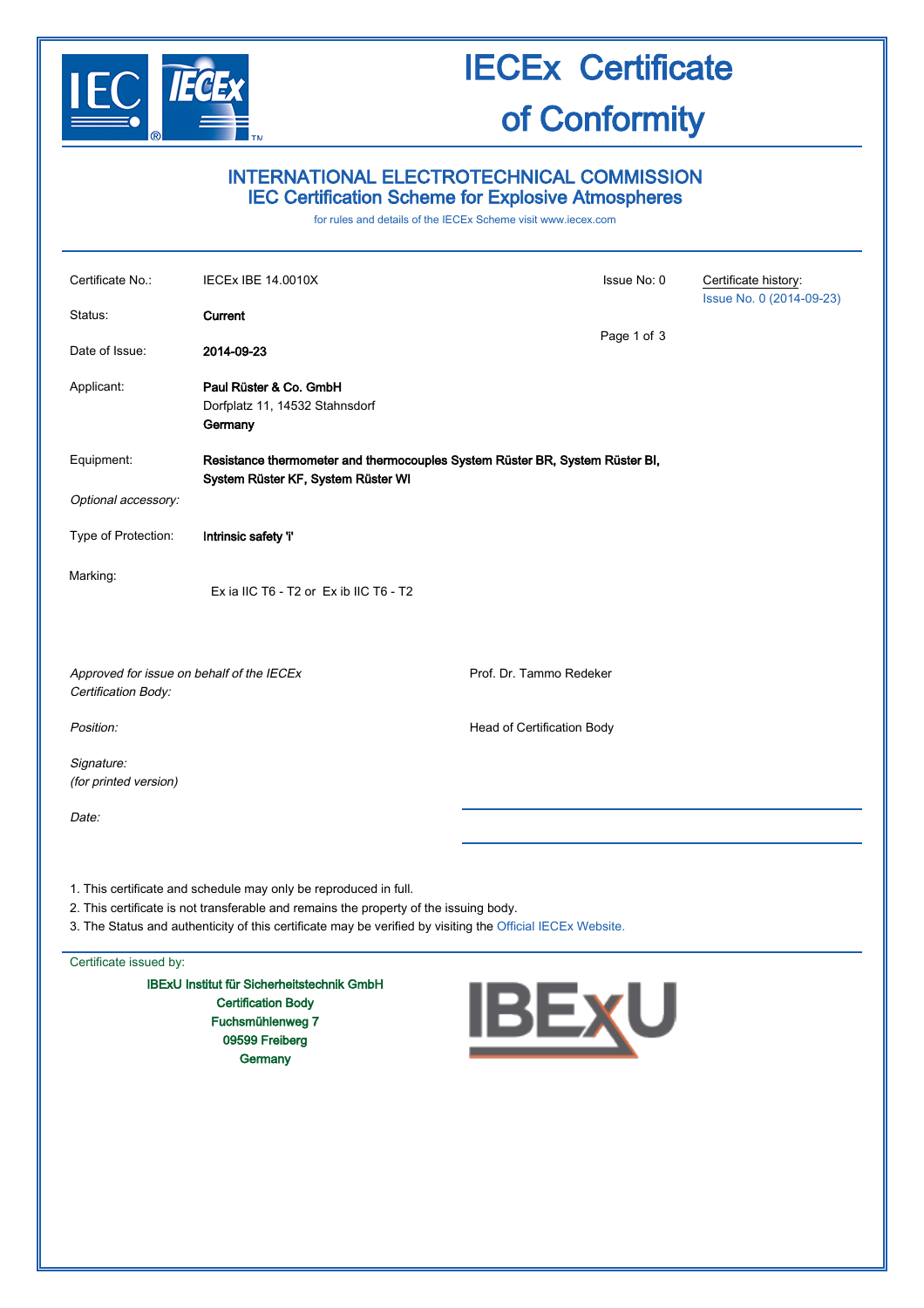

# IECEx Certificate of Conformity

## INTERNATIONAL ELECTROTECHNICAL COMMISSION IEC Certification Scheme for Explosive Atmospheres

for rules and details of the IECEx Scheme visit [www.iecex.com](http://www.iecex.com/)

| Certificate No.:                                                                                                                                                                                                                                                        | <b>IECEX IBE 14.0010X</b>                                                                                          |                            | Issue No: 0    | Certificate history:     |  |  |
|-------------------------------------------------------------------------------------------------------------------------------------------------------------------------------------------------------------------------------------------------------------------------|--------------------------------------------------------------------------------------------------------------------|----------------------------|----------------|--------------------------|--|--|
| Status:<br>Date of Issue:                                                                                                                                                                                                                                               | Current<br>2014-09-23                                                                                              |                            | Page 1 of 3    | Issue No. 0 (2014-09-23) |  |  |
| Applicant:                                                                                                                                                                                                                                                              | Paul Rüster & Co. GmbH<br>Dorfplatz 11, 14532 Stahnsdorf<br>Germany                                                |                            |                |                          |  |  |
| Equipment:                                                                                                                                                                                                                                                              | Resistance thermometer and thermocouples System Rüster BR, System Rüster BI,<br>System Rüster KF, System Rüster WI |                            |                |                          |  |  |
| Optional accessory:                                                                                                                                                                                                                                                     |                                                                                                                    |                            |                |                          |  |  |
| Type of Protection:                                                                                                                                                                                                                                                     | Intrinsic safety 'i'                                                                                               |                            |                |                          |  |  |
| Marking:                                                                                                                                                                                                                                                                | Ex ia IIC T6 - T2 or Ex ib IIC T6 - T2                                                                             |                            |                |                          |  |  |
| Approved for issue on behalf of the IECEx<br>Certification Body:                                                                                                                                                                                                        |                                                                                                                    | Prof. Dr. Tammo Redeker    |                |                          |  |  |
| Position:                                                                                                                                                                                                                                                               |                                                                                                                    | Head of Certification Body |                |                          |  |  |
| Signature:<br>(for printed version)                                                                                                                                                                                                                                     |                                                                                                                    |                            |                |                          |  |  |
| Date:                                                                                                                                                                                                                                                                   |                                                                                                                    |                            |                |                          |  |  |
| 1. This certificate and schedule may only be reproduced in full.<br>2. This certificate is not transferable and remains the property of the issuing body.<br>3. The Status and authenticity of this certificate may be verified by visiting the Official IECEx Website. |                                                                                                                    |                            |                |                          |  |  |
| Certificate issued by:                                                                                                                                                                                                                                                  |                                                                                                                    |                            |                |                          |  |  |
|                                                                                                                                                                                                                                                                         | <b>IBExU Institut für Sicherheitstechnik GmbH</b>                                                                  |                            | $\blacksquare$ |                          |  |  |

Certification Body Fuchsmühlenweg 7 09599 Freiberg **Germany** 

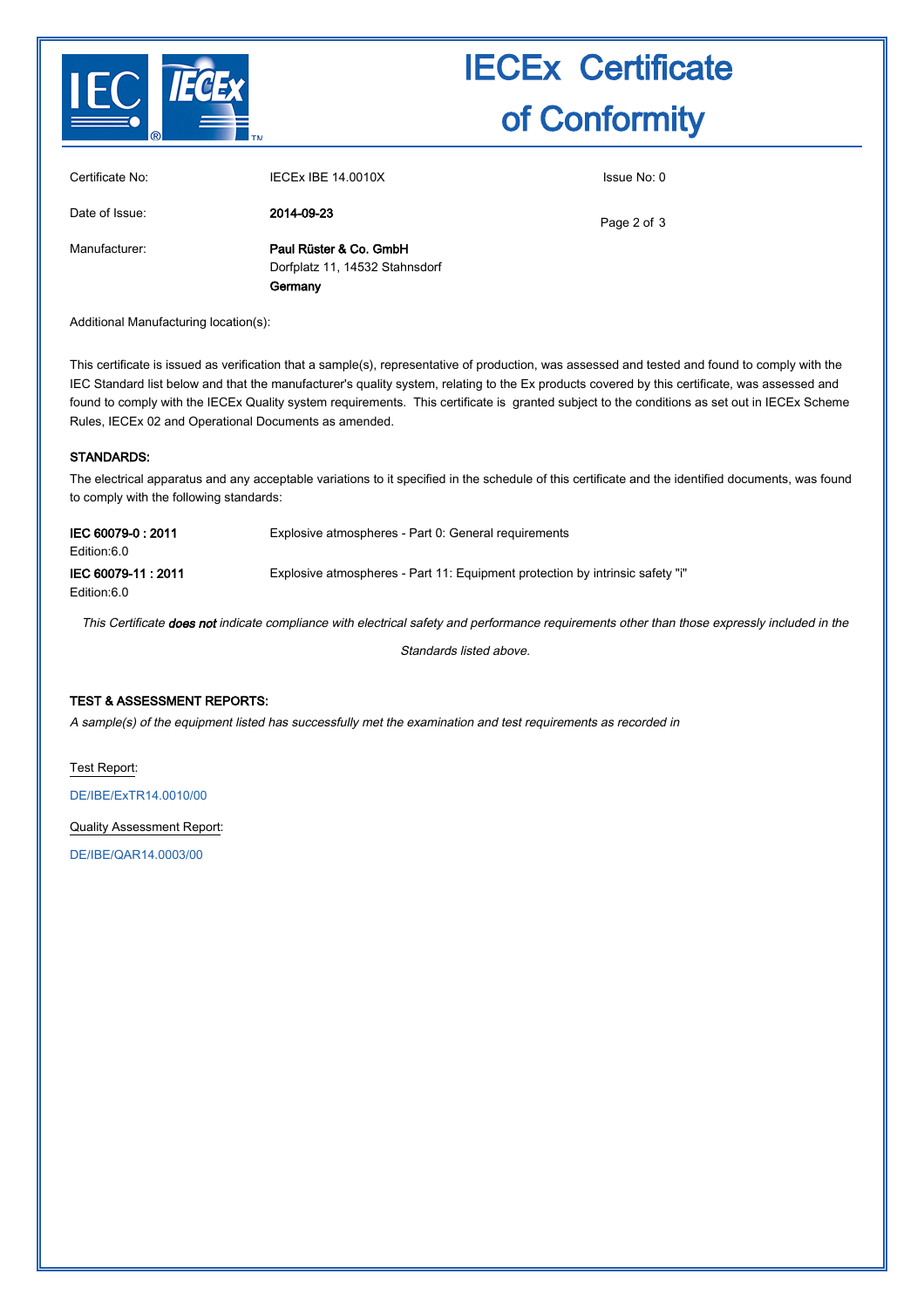

# IECEx Certificate of Conformity

| Certificate No: | <b>IECEX IBE 14.0010X</b>                                | Issue No: 0 |
|-----------------|----------------------------------------------------------|-------------|
| Date of Issue:  | 2014-09-23                                               | Page 2 of 3 |
| Manufacturer:   | Paul Rüster & Co. GmbH<br>Dorfplatz 11, 14532 Stahnsdorf |             |
|                 | Germany                                                  |             |

Additional Manufacturing location(s):

This certificate is issued as verification that a sample(s), representative of production, was assessed and tested and found to comply with the IEC Standard list below and that the manufacturer's quality system, relating to the Ex products covered by this certificate, was assessed and found to comply with the IECEx Quality system requirements. This certificate is granted subject to the conditions as set out in IECEx Scheme Rules, IECEx 02 and Operational Documents as amended.

#### STANDARDS:

The electrical apparatus and any acceptable variations to it specified in the schedule of this certificate and the identified documents, was found to comply with the following standards:

| IEC 60079-0:2011<br>Edition:6.0   | Explosive atmospheres - Part 0: General requirements                          |
|-----------------------------------|-------------------------------------------------------------------------------|
| IEC 60079-11: 2011<br>Edition:6.0 | Explosive atmospheres - Part 11: Equipment protection by intrinsic safety "i" |

This Certificate does not indicate compliance with electrical safety and performance requirements other than those expressly included in the

Standards listed above.

### TEST & ASSESSMENT REPORTS:

A sample(s) of the equipment listed has successfully met the examination and test requirements as recorded in

Test Report:

[DE/IBE/ExTR14.0010/00](http://iecex.iec.ch/iecex/iecexweb.nsf/ExTRNumber/DE/IBE/ExTR14.0010/00?OpenDocument)

Quality Assessment Report:

[DE/IBE/QAR14.0003/00](http://iecex.iec.ch/iecex/iecexweb.nsf/QARNumber/DE/IBE/QAR14.0003/00?OpenDocument)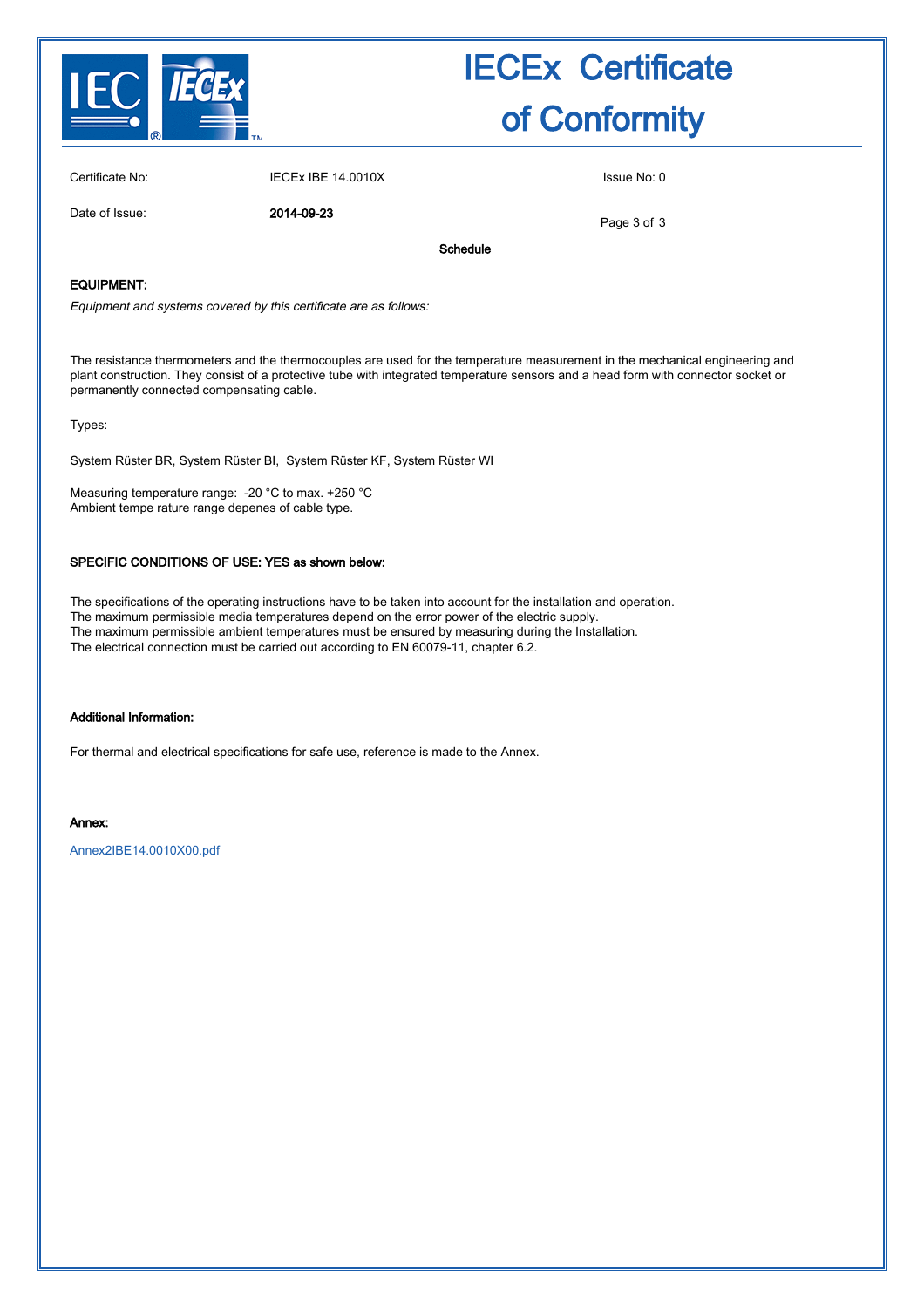

# IECEx Certificate of Conformity

Certificate No: IECEx IBE 14.0010X Issue No: 0

Date of Issue: 2014-09-23

Page 3 of 3

Schedule

### EQUIPMENT:

Equipment and systems covered by this certificate are as follows:

The resistance thermometers and the thermocouples are used for the temperature measurement in the mechanical engineering and plant construction. They consist of a protective tube with integrated temperature sensors and a head form with connector socket or permanently connected compensating cable.

Types:

System Rüster BR, System Rüster BI, System Rüster KF, System Rüster WI

Measuring temperature range: -20 °C to max. +250 °C Ambient tempe rature range depenes of cable type.

#### SPECIFIC CONDITIONS OF USE: YES as shown below:

The specifications of the operating instructions have to be taken into account for the installation and operation. The maximum permissible media temperatures depend on the error power of the electric supply. The maximum permissible ambient temperatures must be ensured by measuring during the Installation. The electrical connection must be carried out according to EN 60079-11, chapter 6.2.

#### Additional Information:

For thermal and electrical specifications for safe use, reference is made to the Annex.

#### Annex:

[Annex2IBE14.0010X00.pdf](http://iecex.iec.ch/iecex/iecexweb.nsf/0/FF562AF03D126088C1257C86004AA233/$File/Annex2IBE14.0010X00.pdf)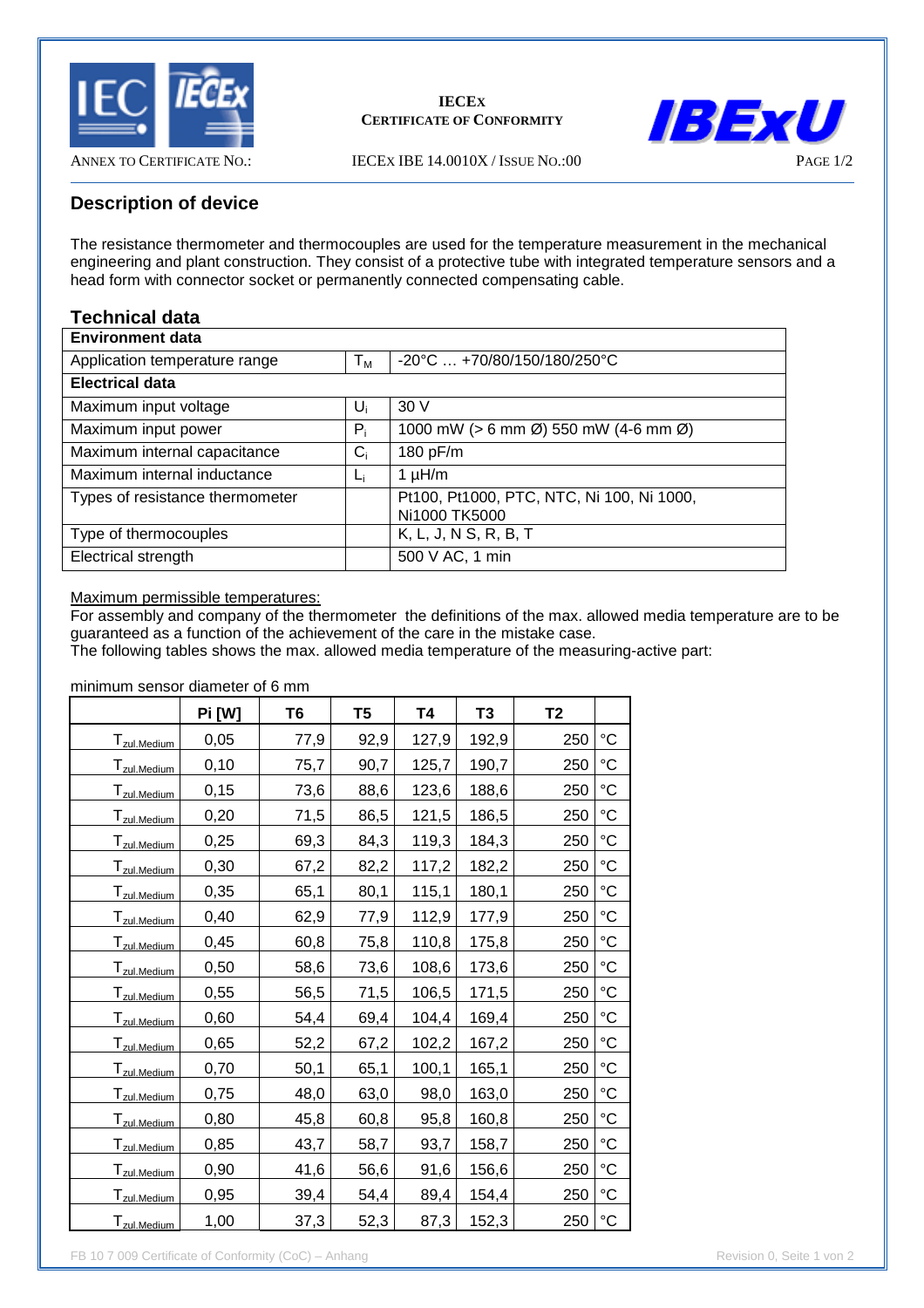

### **IECEX CERTIFICATE OF CONFORMITY**



ANNEX TO CERTIFICATE NO.: IECEX IBE 14.0010X / ISSUE NO.:00

# **Description of device**

The resistance thermometer and thermocouples are used for the temperature measurement in the mechanical engineering and plant construction. They consist of a protective tube with integrated temperature sensors and a head form with connector socket or permanently connected compensating cable.

# **Technical data**

| <b>Environment data</b>         |       |                                                                   |  |  |  |
|---------------------------------|-------|-------------------------------------------------------------------|--|--|--|
| Application temperature range   | $T_M$ | $-20^{\circ}$ C $+70/80/150/180/250^{\circ}$ C                    |  |  |  |
| <b>Electrical data</b>          |       |                                                                   |  |  |  |
| Maximum input voltage           | U     | 30V                                                               |  |  |  |
| Maximum input power             | $P_i$ | 1000 mW ( $> 6$ mm $\varnothing$ ) 550 mW (4-6 mm $\varnothing$ ) |  |  |  |
| Maximum internal capacitance    | $C_i$ | 180 pF/m                                                          |  |  |  |
| Maximum internal inductance     | Lj    | $1 \mu H/m$                                                       |  |  |  |
| Types of resistance thermometer |       | Pt100, Pt1000, PTC, NTC, Ni 100, Ni 1000,<br>Ni1000 TK5000        |  |  |  |
| Type of thermocouples           |       | K, L, J, N S, R, B, T                                             |  |  |  |
| Electrical strength             |       | 500 V AC, 1 min                                                   |  |  |  |

Maximum permissible temperatures:

For assembly and company of the thermometer the definitions of the max. allowed media temperature are to be guaranteed as a function of the achievement of the care in the mistake case.

The following tables shows the max. allowed media temperature of the measuring-active part:

minimum sensor diameter of 6 mm

|                          | Pi [W] | T6   | T5   | T4    | T <sub>3</sub> | T <sub>2</sub> |                   |
|--------------------------|--------|------|------|-------|----------------|----------------|-------------------|
| T <sub>zul.Medium</sub>  | 0,05   | 77,9 | 92,9 | 127,9 | 192,9          | 250            | $\rm ^{\circ}C$   |
| T <sub>zul.Medium</sub>  | 0,10   | 75,7 | 90,7 | 125,7 | 190,7          | 250            | $\rm ^{\circ}C$   |
| T <sub>zul.Medium</sub>  | 0,15   | 73,6 | 88,6 | 123,6 | 188,6          | 250            | $^{\circ}C$       |
| T <sub>zul</sub> .Medium | 0,20   | 71,5 | 86,5 | 121,5 | 186,5          | 250            | $^{\circ}C$       |
| T <sub>zul.Medium</sub>  | 0,25   | 69,3 | 84,3 | 119,3 | 184,3          | 250            | $\rm ^{\circ}C$   |
| Tzul.Medium              | 0,30   | 67,2 | 82,2 | 117,2 | 182,2          | 250            | $\rm ^{\circ}C$   |
| T <sub>zul.Medium</sub>  | 0,35   | 65,1 | 80,1 | 115,1 | 180,1          | 250            | $^{\circ}C$       |
| T <sub>zul.Medium</sub>  | 0,40   | 62,9 | 77,9 | 112,9 | 177,9          | 250            | $^{\circ}C$       |
| T <sub>zul.Medium</sub>  | 0,45   | 60,8 | 75,8 | 110,8 | 175,8          | 250            | $^{\circ}C$       |
| T <sub>zul.Medium</sub>  | 0,50   | 58,6 | 73,6 | 108,6 | 173,6          | 250            | $\rm ^{\circ}C$   |
| T <sub>zul.Medium</sub>  | 0,55   | 56,5 | 71,5 | 106,5 | 171,5          | 250            | $^{\circ}C$       |
| T <sub>zul.Medium</sub>  | 0,60   | 54,4 | 69,4 | 104,4 | 169,4          | 250            | $^{\circ}C$       |
| T <sub>zul.Medium</sub>  | 0,65   | 52,2 | 67,2 | 102,2 | 167,2          | 250            | $^{\circ}C$       |
| T <sub>zul.Medium</sub>  | 0,70   | 50,1 | 65,1 | 100,1 | 165,1          | 250            | $\rm ^{\circ}C$   |
| T <sub>zul.Medium</sub>  | 0,75   | 48,0 | 63,0 | 98,0  | 163,0          | 250            | $^{\circ}C$       |
| T <sub>zul</sub> .Medium | 0,80   | 45,8 | 60,8 | 95,8  | 160,8          | 250            | $^{\circ}C$       |
| T <sub>zul.Medium</sub>  | 0,85   | 43,7 | 58,7 | 93,7  | 158,7          | 250            | $^{\circ}{\rm C}$ |
| T <sub>zul.Medium</sub>  | 0,90   | 41,6 | 56,6 | 91,6  | 156,6          | 250            | $^{\circ}C$       |
| T <sub>zul.Medium</sub>  | 0,95   | 39,4 | 54,4 | 89,4  | 154,4          | 250            | $^{\circ}{\rm C}$ |
| T <sub>zul</sub> .Medium | 1,00   | 37,3 | 52,3 | 87,3  | 152,3          | 250            | $^{\circ}{\rm C}$ |